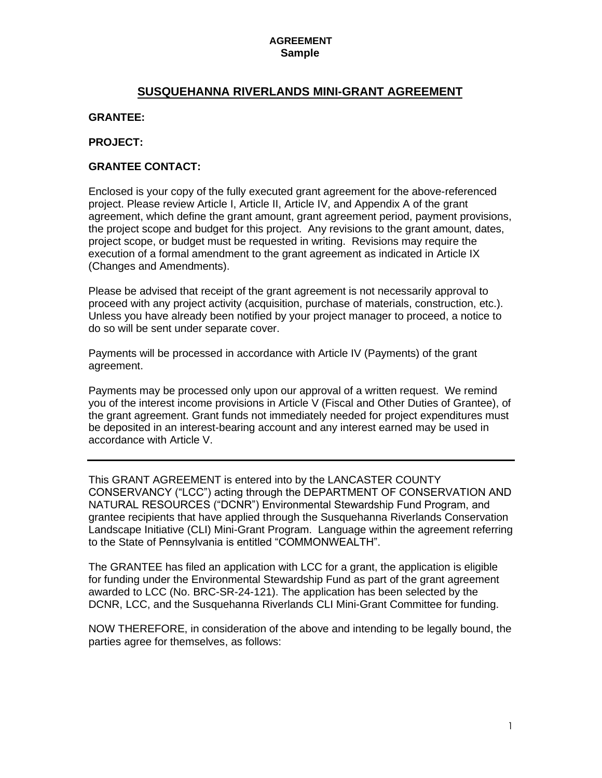# **SUSQUEHANNA RIVERLANDS MINI-GRANT AGREEMENT**

#### **GRANTEE:**

#### **PROJECT:**

#### **GRANTEE CONTACT:**

Enclosed is your copy of the fully executed grant agreement for the above-referenced project. Please review Article I, Article II, Article IV, and Appendix A of the grant agreement, which define the grant amount, grant agreement period, payment provisions, the project scope and budget for this project. Any revisions to the grant amount, dates, project scope, or budget must be requested in writing. Revisions may require the execution of a formal amendment to the grant agreement as indicated in Article IX (Changes and Amendments).

Please be advised that receipt of the grant agreement is not necessarily approval to proceed with any project activity (acquisition, purchase of materials, construction, etc.). Unless you have already been notified by your project manager to proceed, a notice to do so will be sent under separate cover.

Payments will be processed in accordance with Article IV (Payments) of the grant agreement.

Payments may be processed only upon our approval of a written request. We remind you of the interest income provisions in Article V (Fiscal and Other Duties of Grantee), of the grant agreement. Grant funds not immediately needed for project expenditures must be deposited in an interest-bearing account and any interest earned may be used in accordance with Article V.

This GRANT AGREEMENT is entered into by the LANCASTER COUNTY CONSERVANCY ("LCC") acting through the DEPARTMENT OF CONSERVATION AND NATURAL RESOURCES ("DCNR") Environmental Stewardship Fund Program, and grantee recipients that have applied through the Susquehanna Riverlands Conservation Landscape Initiative (CLI) Mini-Grant Program. Language within the agreement referring to the State of Pennsylvania is entitled "COMMONWEALTH".

The GRANTEE has filed an application with LCC for a grant, the application is eligible for funding under the Environmental Stewardship Fund as part of the grant agreement awarded to LCC (No. BRC-SR-24-121). The application has been selected by the DCNR, LCC, and the Susquehanna Riverlands CLI Mini-Grant Committee for funding.

NOW THEREFORE, in consideration of the above and intending to be legally bound, the parties agree for themselves, as follows: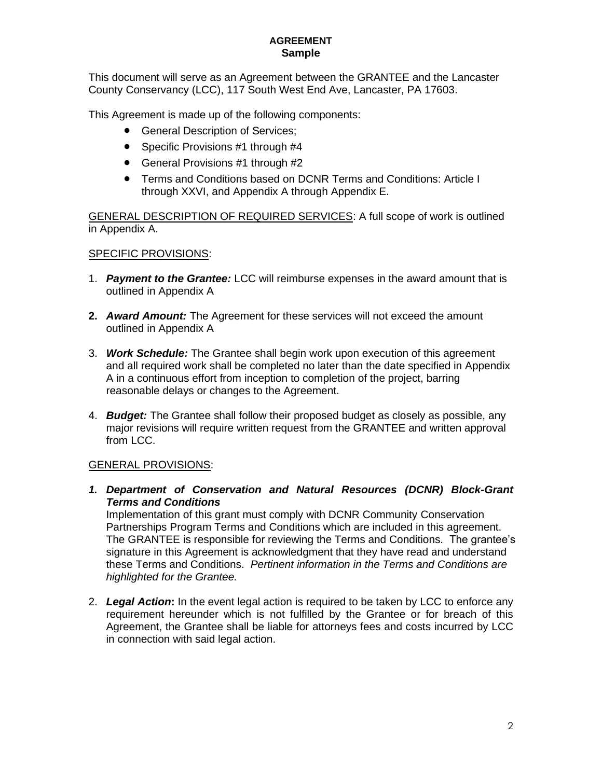This document will serve as an Agreement between the GRANTEE and the Lancaster County Conservancy (LCC), 117 South West End Ave, Lancaster, PA 17603.

This Agreement is made up of the following components:

- General Description of Services;
- Specific Provisions #1 through #4
- General Provisions #1 through #2
- Terms and Conditions based on DCNR Terms and Conditions: Article I through XXVI, and Appendix A through Appendix E.

GENERAL DESCRIPTION OF REQUIRED SERVICES: A full scope of work is outlined in Appendix A.

# SPECIFIC PROVISIONS:

- 1. *Payment to the Grantee:* LCC will reimburse expenses in the award amount that is outlined in Appendix A
- **2.** *Award Amount:* The Agreement for these services will not exceed the amount outlined in Appendix A
- 3. *Work Schedule:* The Grantee shall begin work upon execution of this agreement and all required work shall be completed no later than the date specified in Appendix A in a continuous effort from inception to completion of the project, barring reasonable delays or changes to the Agreement.
- 4. *Budget:* The Grantee shall follow their proposed budget as closely as possible, any major revisions will require written request from the GRANTEE and written approval from LCC.

# GENERAL PROVISIONS:

*1. Department of Conservation and Natural Resources (DCNR) Block-Grant Terms and Conditions*

Implementation of this grant must comply with DCNR Community Conservation Partnerships Program Terms and Conditions which are included in this agreement. The GRANTEE is responsible for reviewing the Terms and Conditions. The grantee's signature in this Agreement is acknowledgment that they have read and understand these Terms and Conditions. *Pertinent information in the Terms and Conditions are highlighted for the Grantee.* 

2. *Legal Action***:** In the event legal action is required to be taken by LCC to enforce any requirement hereunder which is not fulfilled by the Grantee or for breach of this Agreement, the Grantee shall be liable for attorneys fees and costs incurred by LCC in connection with said legal action.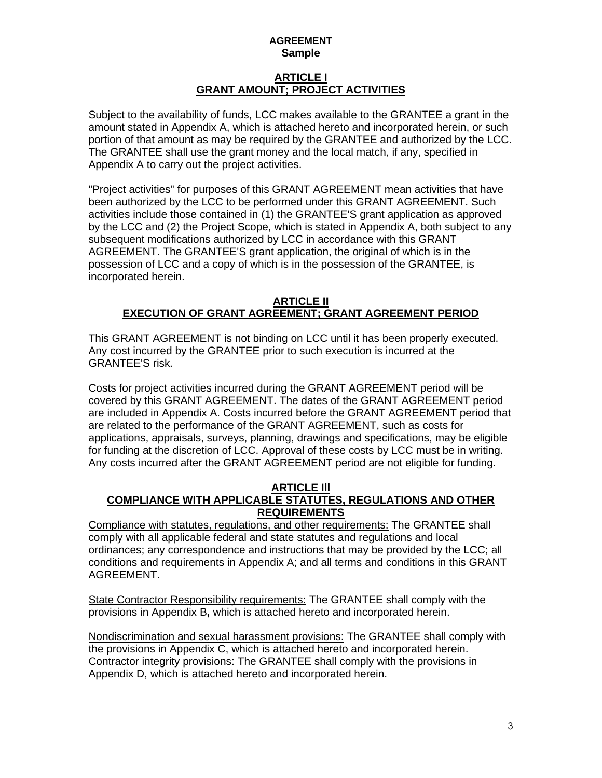# **ARTICLE I GRANT AMOUNT; PROJECT ACTIVITIES**

Subject to the availability of funds, LCC makes available to the GRANTEE a grant in the amount stated in Appendix A, which is attached hereto and incorporated herein, or such portion of that amount as may be required by the GRANTEE and authorized by the LCC. The GRANTEE shall use the grant money and the local match, if any, specified in Appendix A to carry out the project activities.

"Project activities" for purposes of this GRANT AGREEMENT mean activities that have been authorized by the LCC to be performed under this GRANT AGREEMENT. Such activities include those contained in (1) the GRANTEE'S grant application as approved by the LCC and (2) the Project Scope, which is stated in Appendix A, both subject to any subsequent modifications authorized by LCC in accordance with this GRANT AGREEMENT. The GRANTEE'S grant application, the original of which is in the possession of LCC and a copy of which is in the possession of the GRANTEE, is incorporated herein.

#### **ARTICLE II EXECUTION OF GRANT AGREEMENT; GRANT AGREEMENT PERIOD**

This GRANT AGREEMENT is not binding on LCC until it has been properly executed. Any cost incurred by the GRANTEE prior to such execution is incurred at the GRANTEE'S risk.

Costs for project activities incurred during the GRANT AGREEMENT period will be covered by this GRANT AGREEMENT. The dates of the GRANT AGREEMENT period are included in Appendix A. Costs incurred before the GRANT AGREEMENT period that are related to the performance of the GRANT AGREEMENT, such as costs for applications, appraisals, surveys, planning, drawings and specifications, may be eligible for funding at the discretion of LCC. Approval of these costs by LCC must be in writing. Any costs incurred after the GRANT AGREEMENT period are not eligible for funding.

#### **ARTICLE Ill COMPLIANCE WITH APPLICABLE STATUTES, REGULATIONS AND OTHER REQUIREMENTS**

Compliance with statutes, regulations, and other requirements: The GRANTEE shall comply with all applicable federal and state statutes and regulations and local ordinances; any correspondence and instructions that may be provided by the LCC; all conditions and requirements in Appendix A; and all terms and conditions in this GRANT AGREEMENT.

State Contractor Responsibility requirements: The GRANTEE shall comply with the provisions in Appendix B**,** which is attached hereto and incorporated herein.

Nondiscrimination and sexual harassment provisions: The GRANTEE shall comply with the provisions in Appendix C, which is attached hereto and incorporated herein. Contractor integrity provisions: The GRANTEE shall comply with the provisions in Appendix D, which is attached hereto and incorporated herein.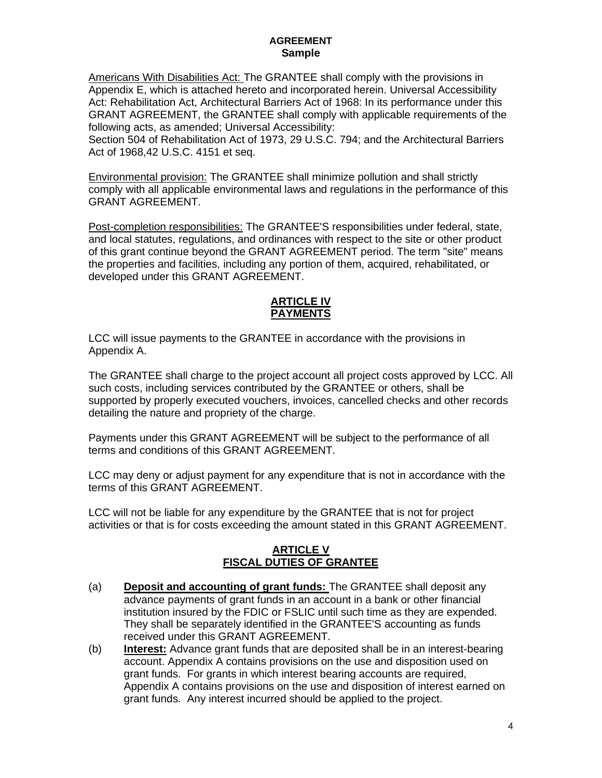Americans With Disabilities Act: The GRANTEE shall comply with the provisions in Appendix E, which is attached hereto and incorporated herein. Universal Accessibility Act: Rehabilitation Act, Architectural Barriers Act of 1968: In its performance under this GRANT AGREEMENT, the GRANTEE shall comply with applicable requirements of the following acts, as amended; Universal Accessibility:

Section 504 of Rehabilitation Act of 1973, 29 U.S.C. 794; and the Architectural Barriers Act of 1968,42 U.S.C. 4151 et seq.

Environmental provision: The GRANTEE shall minimize pollution and shall strictly comply with all applicable environmental laws and regulations in the performance of this GRANT AGREEMENT.

Post-completion responsibilities: The GRANTEE'S responsibilities under federal, state, and local statutes, regulations, and ordinances with respect to the site or other product of this grant continue beyond the GRANT AGREEMENT period. The term "site" means the properties and facilities, including any portion of them, acquired, rehabilitated, or developed under this GRANT AGREEMENT.

# **ARTICLE IV PAYMENTS**

LCC will issue payments to the GRANTEE in accordance with the provisions in Appendix A.

The GRANTEE shall charge to the project account all project costs approved by LCC. All such costs, including services contributed by the GRANTEE or others, shall be supported by properly executed vouchers, invoices, cancelled checks and other records detailing the nature and propriety of the charge.

Payments under this GRANT AGREEMENT will be subject to the performance of all terms and conditions of this GRANT AGREEMENT.

LCC may deny or adjust payment for any expenditure that is not in accordance with the terms of this GRANT AGREEMENT.

LCC will not be liable for any expenditure by the GRANTEE that is not for project activities or that is for costs exceeding the amount stated in this GRANT AGREEMENT.

# **ARTICLE V FISCAL DUTIES OF GRANTEE**

- (a) **Deposit and accounting of grant funds:** The GRANTEE shall deposit any advance payments of grant funds in an account in a bank or other financial institution insured by the FDIC or FSLIC until such time as they are expended. They shall be separately identified in the GRANTEE'S accounting as funds received under this GRANT AGREEMENT.
- (b) **Interest:** Advance grant funds that are deposited shall be in an interest-bearing account. Appendix A contains provisions on the use and disposition used on grant funds. For grants in which interest bearing accounts are required, Appendix A contains provisions on the use and disposition of interest earned on grant funds. Any interest incurred should be applied to the project.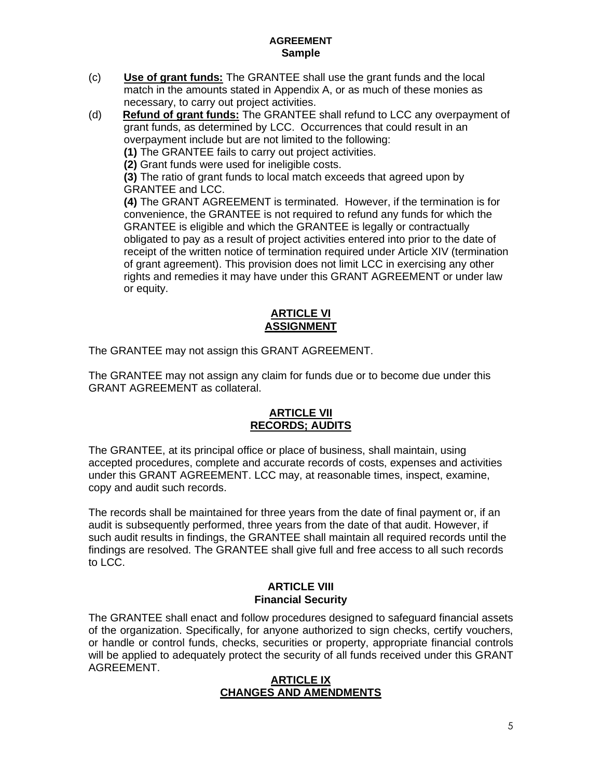- (c) **Use of grant funds:** The GRANTEE shall use the grant funds and the local match in the amounts stated in Appendix A, or as much of these monies as necessary, to carry out project activities.
- (d) **Refund of grant funds:** The GRANTEE shall refund to LCC any overpayment of grant funds, as determined by LCC. Occurrences that could result in an overpayment include but are not limited to the following:

**(1)** The GRANTEE fails to carry out project activities.

**(2)** Grant funds were used for ineligible costs.

**(3)** The ratio of grant funds to local match exceeds that agreed upon by GRANTEE and LCC.

**(4)** The GRANT AGREEMENT is terminated. However, if the termination is for convenience, the GRANTEE is not required to refund any funds for which the GRANTEE is eligible and which the GRANTEE is legally or contractually obligated to pay as a result of project activities entered into prior to the date of receipt of the written notice of termination required under Article XIV (termination of grant agreement). This provision does not limit LCC in exercising any other rights and remedies it may have under this GRANT AGREEMENT or under law or equity.

## **ARTICLE VI ASSIGNMENT**

The GRANTEE may not assign this GRANT AGREEMENT.

The GRANTEE may not assign any claim for funds due or to become due under this GRANT AGREEMENT as collateral.

## **ARTICLE VII RECORDS; AUDITS**

The GRANTEE, at its principal office or place of business, shall maintain, using accepted procedures, complete and accurate records of costs, expenses and activities under this GRANT AGREEMENT. LCC may, at reasonable times, inspect, examine, copy and audit such records.

The records shall be maintained for three years from the date of final payment or, if an audit is subsequently performed, three years from the date of that audit. However, if such audit results in findings, the GRANTEE shall maintain all required records until the findings are resolved. The GRANTEE shall give full and free access to all such records to LCC.

# **ARTICLE VIII Financial Security**

The GRANTEE shall enact and follow procedures designed to safeguard financial assets of the organization. Specifically, for anyone authorized to sign checks, certify vouchers, or handle or control funds, checks, securities or property, appropriate financial controls will be applied to adequately protect the security of all funds received under this GRANT AGREEMENT.

#### **ARTICLE IX CHANGES AND AMENDMENTS**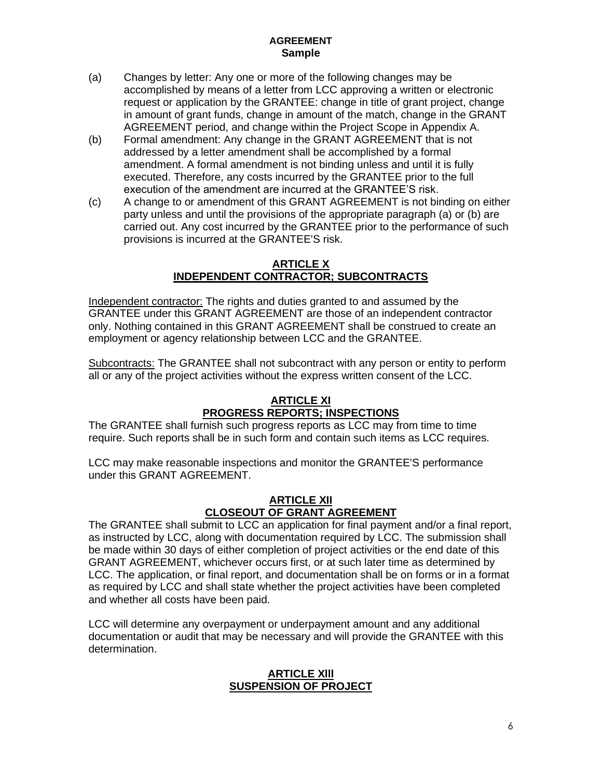- (a) Changes by letter: Any one or more of the following changes may be accomplished by means of a letter from LCC approving a written or electronic request or application by the GRANTEE: change in title of grant project, change in amount of grant funds, change in amount of the match, change in the GRANT AGREEMENT period, and change within the Project Scope in Appendix A.
- (b) Formal amendment: Any change in the GRANT AGREEMENT that is not addressed by a letter amendment shall be accomplished by a formal amendment. A formal amendment is not binding unless and until it is fully executed. Therefore, any costs incurred by the GRANTEE prior to the full execution of the amendment are incurred at the GRANTEE'S risk.
- (c) A change to or amendment of this GRANT AGREEMENT is not binding on either party unless and until the provisions of the appropriate paragraph (a) or (b) are carried out. Any cost incurred by the GRANTEE prior to the performance of such provisions is incurred at the GRANTEE'S risk.

## **ARTICLE X INDEPENDENT CONTRACTOR; SUBCONTRACTS**

Independent contractor: The rights and duties granted to and assumed by the GRANTEE under this GRANT AGREEMENT are those of an independent contractor only. Nothing contained in this GRANT AGREEMENT shall be construed to create an employment or agency relationship between LCC and the GRANTEE.

Subcontracts: The GRANTEE shall not subcontract with any person or entity to perform all or any of the project activities without the express written consent of the LCC.

# **ARTICLE XI PROGRESS REPORTS; INSPECTIONS**

The GRANTEE shall furnish such progress reports as LCC may from time to time require. Such reports shall be in such form and contain such items as LCC requires.

LCC may make reasonable inspections and monitor the GRANTEE'S performance under this GRANT AGREEMENT.

# **ARTICLE XII CLOSEOUT OF GRANT AGREEMENT**

The GRANTEE shall submit to LCC an application for final payment and/or a final report, as instructed by LCC, along with documentation required by LCC. The submission shall be made within 30 days of either completion of project activities or the end date of this GRANT AGREEMENT, whichever occurs first, or at such later time as determined by LCC. The application, or final report, and documentation shall be on forms or in a format as required by LCC and shall state whether the project activities have been completed and whether all costs have been paid.

LCC will determine any overpayment or underpayment amount and any additional documentation or audit that may be necessary and will provide the GRANTEE with this determination.

#### **ARTICLE Xlll SUSPENSION OF PROJECT**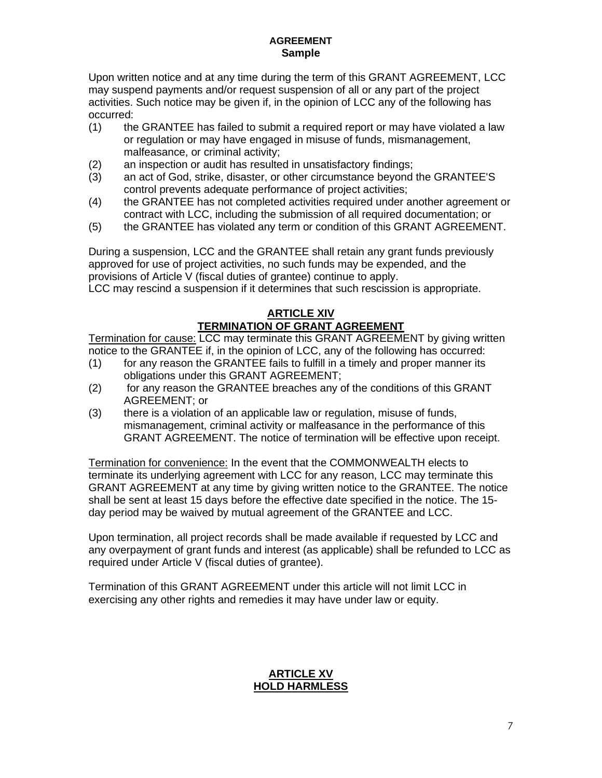Upon written notice and at any time during the term of this GRANT AGREEMENT, LCC may suspend payments and/or request suspension of all or any part of the project activities. Such notice may be given if, in the opinion of LCC any of the following has occurred:

- (1) the GRANTEE has failed to submit a required report or may have violated a law or regulation or may have engaged in misuse of funds, mismanagement, malfeasance, or criminal activity;
- (2) an inspection or audit has resulted in unsatisfactory findings;
- (3) an act of God, strike, disaster, or other circumstance beyond the GRANTEE'S control prevents adequate performance of project activities;
- (4) the GRANTEE has not completed activities required under another agreement or contract with LCC, including the submission of all required documentation; or
- (5) the GRANTEE has violated any term or condition of this GRANT AGREEMENT.

During a suspension, LCC and the GRANTEE shall retain any grant funds previously approved for use of project activities, no such funds may be expended, and the provisions of Article V (fiscal duties of grantee) continue to apply.

LCC may rescind a suspension if it determines that such rescission is appropriate.

## **ARTICLE XIV TERMINATION OF GRANT AGREEMENT**

Termination for cause: LCC may terminate this GRANT AGREEMENT by giving written notice to the GRANTEE if, in the opinion of LCC, any of the following has occurred:

- (1) for any reason the GRANTEE fails to fulfill in a timely and proper manner its obligations under this GRANT AGREEMENT;
- (2) for any reason the GRANTEE breaches any of the conditions of this GRANT AGREEMENT; or
- (3) there is a violation of an applicable law or regulation, misuse of funds, mismanagement, criminal activity or malfeasance in the performance of this GRANT AGREEMENT. The notice of termination will be effective upon receipt.

Termination for convenience: In the event that the COMMONWEALTH elects to terminate its underlying agreement with LCC for any reason, LCC may terminate this GRANT AGREEMENT at any time by giving written notice to the GRANTEE. The notice shall be sent at least 15 days before the effective date specified in the notice. The 15 day period may be waived by mutual agreement of the GRANTEE and LCC.

Upon termination, all project records shall be made available if requested by LCC and any overpayment of grant funds and interest (as applicable) shall be refunded to LCC as required under Article V (fiscal duties of grantee).

Termination of this GRANT AGREEMENT under this article will not limit LCC in exercising any other rights and remedies it may have under law or equity.

## **ARTICLE XV HOLD HARMLESS**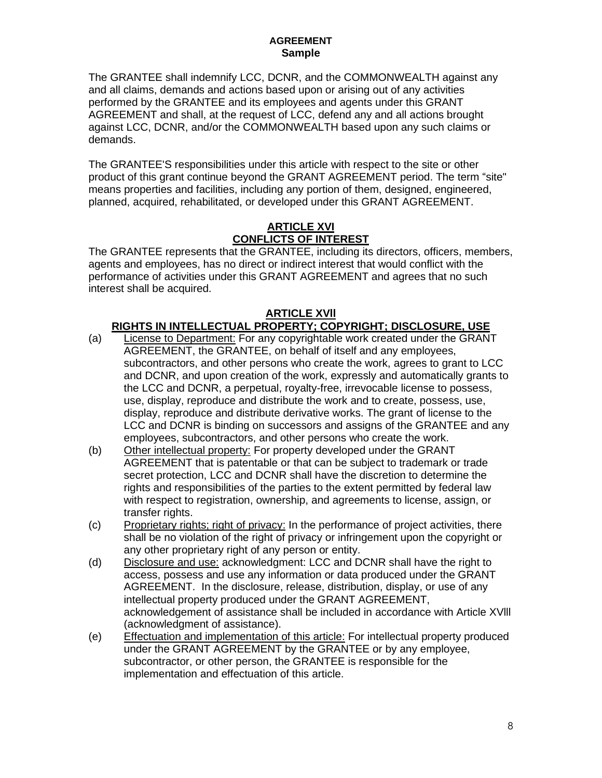The GRANTEE shall indemnify LCC, DCNR, and the COMMONWEALTH against any and all claims, demands and actions based upon or arising out of any activities performed by the GRANTEE and its employees and agents under this GRANT AGREEMENT and shall, at the request of LCC, defend any and all actions brought against LCC, DCNR, and/or the COMMONWEALTH based upon any such claims or demands.

The GRANTEE'S responsibilities under this article with respect to the site or other product of this grant continue beyond the GRANT AGREEMENT period. The term "site" means properties and facilities, including any portion of them, designed, engineered, planned, acquired, rehabilitated, or developed under this GRANT AGREEMENT.

# **ARTICLE XVI CONFLICTS OF INTEREST**

The GRANTEE represents that the GRANTEE, including its directors, officers, members, agents and employees, has no direct or indirect interest that would conflict with the performance of activities under this GRANT AGREEMENT and agrees that no such interest shall be acquired.

# **ARTICLE XVll**

# **RIGHTS IN INTELLECTUAL PROPERTY; COPYRIGHT; DISCLOSURE, USE**

- (a) License to Department: For any copyrightable work created under the GRANT AGREEMENT, the GRANTEE, on behalf of itself and any employees, subcontractors, and other persons who create the work, agrees to grant to LCC and DCNR, and upon creation of the work, expressly and automatically grants to the LCC and DCNR, a perpetual, royalty-free, irrevocable license to possess, use, display, reproduce and distribute the work and to create, possess, use, display, reproduce and distribute derivative works. The grant of license to the LCC and DCNR is binding on successors and assigns of the GRANTEE and any employees, subcontractors, and other persons who create the work.
- (b) Other intellectual property: For property developed under the GRANT AGREEMENT that is patentable or that can be subject to trademark or trade secret protection, LCC and DCNR shall have the discretion to determine the rights and responsibilities of the parties to the extent permitted by federal law with respect to registration, ownership, and agreements to license, assign, or transfer rights.
- (c) Proprietary rights; right of privacy: In the performance of project activities, there shall be no violation of the right of privacy or infringement upon the copyright or any other proprietary right of any person or entity.
- (d) Disclosure and use: acknowledgment: LCC and DCNR shall have the right to access, possess and use any information or data produced under the GRANT AGREEMENT. In the disclosure, release, distribution, display, or use of any intellectual property produced under the GRANT AGREEMENT, acknowledgement of assistance shall be included in accordance with Article XVlll (acknowledgment of assistance).
- (e) Effectuation and implementation of this article: For intellectual property produced under the GRANT AGREEMENT by the GRANTEE or by any employee, subcontractor, or other person, the GRANTEE is responsible for the implementation and effectuation of this article.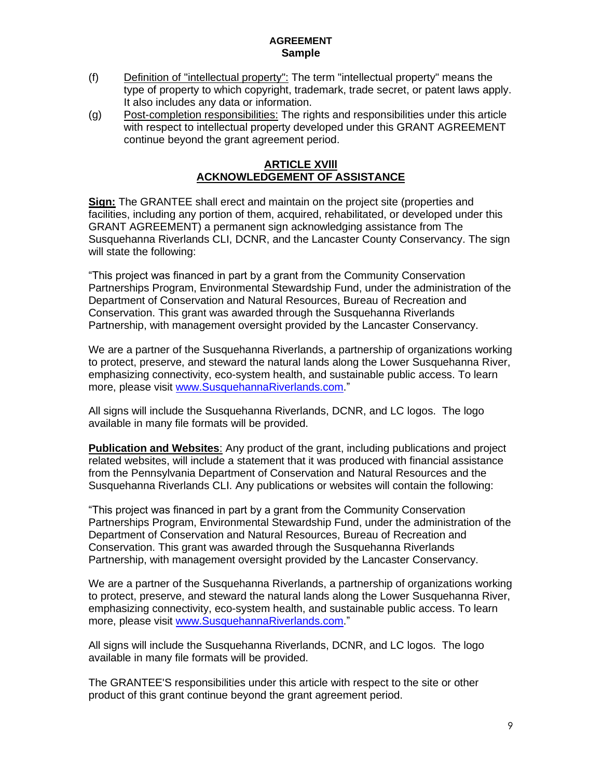- (f) Definition of "intellectual property": The term "intellectual property" means the type of property to which copyright, trademark, trade secret, or patent laws apply. It also includes any data or information.
- (g) Post-completion responsibilities: The rights and responsibilities under this article with respect to intellectual property developed under this GRANT AGREEMENT continue beyond the grant agreement period.

## **ARTICLE XVlll ACKNOWLEDGEMENT OF ASSISTANCE**

**Sign:** The GRANTEE shall erect and maintain on the project site (properties and facilities, including any portion of them, acquired, rehabilitated, or developed under this GRANT AGREEMENT) a permanent sign acknowledging assistance from The Susquehanna Riverlands CLI, DCNR, and the Lancaster County Conservancy. The sign will state the following:

"This project was financed in part by a grant from the Community Conservation Partnerships Program, Environmental Stewardship Fund, under the administration of the Department of Conservation and Natural Resources, Bureau of Recreation and Conservation. This grant was awarded through the Susquehanna Riverlands Partnership, with management oversight provided by the Lancaster Conservancy.

We are a partner of the Susquehanna Riverlands, a partnership of organizations working to protect, preserve, and steward the natural lands along the Lower Susquehanna River, emphasizing connectivity, eco-system health, and sustainable public access. To learn more, please visit [www.SusquehannaRiverlands.com.](http://www.susquehannariverlands.com/)"

All signs will include the Susquehanna Riverlands, DCNR, and LC logos. The logo available in many file formats will be provided.

**Publication and Websites**: Any product of the grant, including publications and project related websites, will include a statement that it was produced with financial assistance from the Pennsylvania Department of Conservation and Natural Resources and the Susquehanna Riverlands CLI. Any publications or websites will contain the following:

"This project was financed in part by a grant from the Community Conservation Partnerships Program, Environmental Stewardship Fund, under the administration of the Department of Conservation and Natural Resources, Bureau of Recreation and Conservation. This grant was awarded through the Susquehanna Riverlands Partnership, with management oversight provided by the Lancaster Conservancy.

We are a partner of the Susquehanna Riverlands, a partnership of organizations working to protect, preserve, and steward the natural lands along the Lower Susquehanna River, emphasizing connectivity, eco-system health, and sustainable public access. To learn more, please visit [www.SusquehannaRiverlands.com.](http://www.susquehannariverlands.com/)"

All signs will include the Susquehanna Riverlands, DCNR, and LC logos. The logo available in many file formats will be provided.

The GRANTEE'S responsibilities under this article with respect to the site or other product of this grant continue beyond the grant agreement period.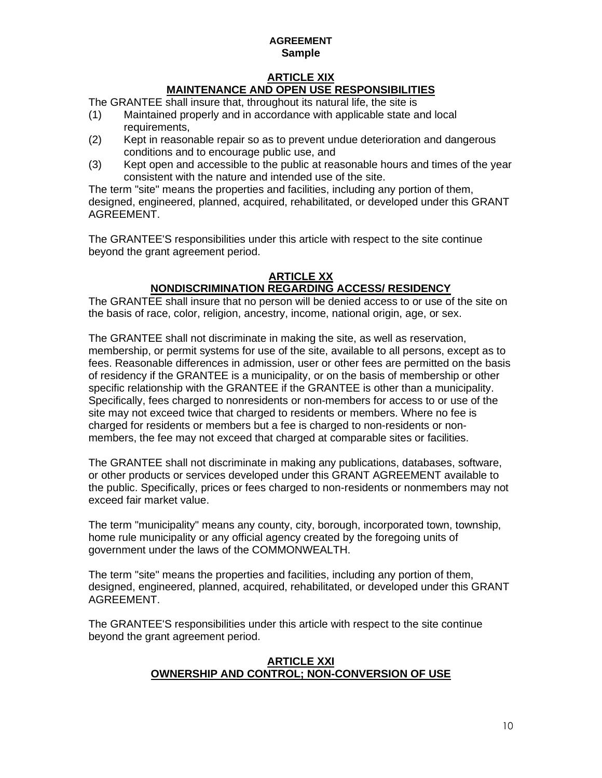# **ARTICLE XIX MAINTENANCE AND OPEN USE RESPONSIBILITIES**

The GRANTEE shall insure that, throughout its natural life, the site is

- (1) Maintained properly and in accordance with applicable state and local requirements,
- (2) Kept in reasonable repair so as to prevent undue deterioration and dangerous conditions and to encourage public use, and
- (3) Kept open and accessible to the public at reasonable hours and times of the year consistent with the nature and intended use of the site.

The term "site" means the properties and facilities, including any portion of them, designed, engineered, planned, acquired, rehabilitated, or developed under this GRANT AGREEMENT.

The GRANTEE'S responsibilities under this article with respect to the site continue beyond the grant agreement period.

### **ARTICLE XX NONDISCRIMINATION REGARDING ACCESS/ RESIDENCY**

The GRANTEE shall insure that no person will be denied access to or use of the site on the basis of race, color, religion, ancestry, income, national origin, age, or sex.

The GRANTEE shall not discriminate in making the site, as well as reservation, membership, or permit systems for use of the site, available to all persons, except as to fees. Reasonable differences in admission, user or other fees are permitted on the basis of residency if the GRANTEE is a municipality, or on the basis of membership or other specific relationship with the GRANTEE if the GRANTEE is other than a municipality. Specifically, fees charged to nonresidents or non-members for access to or use of the site may not exceed twice that charged to residents or members. Where no fee is charged for residents or members but a fee is charged to non-residents or nonmembers, the fee may not exceed that charged at comparable sites or facilities.

The GRANTEE shall not discriminate in making any publications, databases, software, or other products or services developed under this GRANT AGREEMENT available to the public. Specifically, prices or fees charged to non-residents or nonmembers may not exceed fair market value.

The term "municipality" means any county, city, borough, incorporated town, township, home rule municipality or any official agency created by the foregoing units of government under the laws of the COMMONWEALTH.

The term "site" means the properties and facilities, including any portion of them, designed, engineered, planned, acquired, rehabilitated, or developed under this GRANT AGREEMENT.

The GRANTEE'S responsibilities under this article with respect to the site continue beyond the grant agreement period.

## **ARTICLE XXI OWNERSHIP AND CONTROL; NON-CONVERSION OF USE**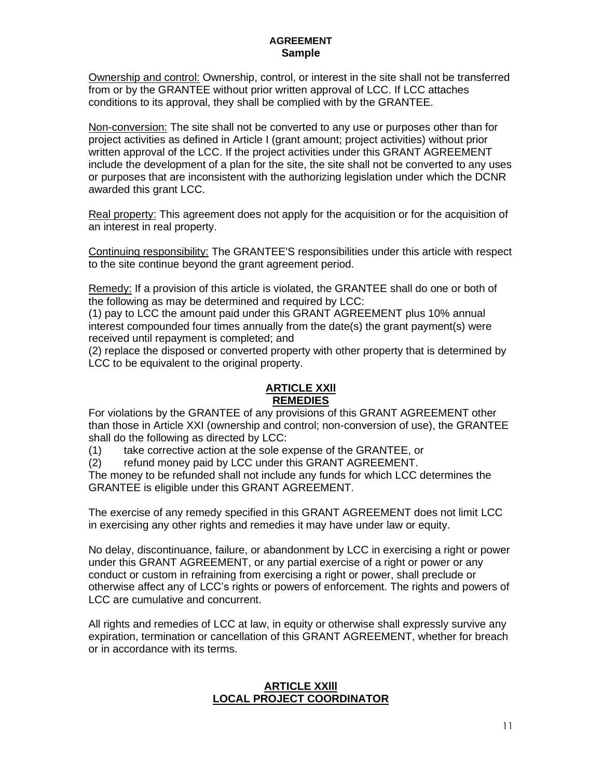Ownership and control: Ownership, control, or interest in the site shall not be transferred from or by the GRANTEE without prior written approval of LCC. If LCC attaches conditions to its approval, they shall be complied with by the GRANTEE.

Non-conversion: The site shall not be converted to any use or purposes other than for project activities as defined in Article I (grant amount; project activities) without prior written approval of the LCC. If the project activities under this GRANT AGREEMENT include the development of a plan for the site, the site shall not be converted to any uses or purposes that are inconsistent with the authorizing legislation under which the DCNR awarded this grant LCC.

Real property: This agreement does not apply for the acquisition or for the acquisition of an interest in real property.

Continuing responsibility: The GRANTEE'S responsibilities under this article with respect to the site continue beyond the grant agreement period.

Remedy: If a provision of this article is violated, the GRANTEE shall do one or both of the following as may be determined and required by LCC:

(1) pay to LCC the amount paid under this GRANT AGREEMENT plus 10% annual interest compounded four times annually from the date(s) the grant payment(s) were received until repayment is completed; and

(2) replace the disposed or converted property with other property that is determined by LCC to be equivalent to the original property.

## **ARTICLE XXll REMEDIES**

For violations by the GRANTEE of any provisions of this GRANT AGREEMENT other than those in Article XXI (ownership and control; non-conversion of use), the GRANTEE shall do the following as directed by LCC:

(1) take corrective action at the sole expense of the GRANTEE, or

(2) refund money paid by LCC under this GRANT AGREEMENT.

The money to be refunded shall not include any funds for which LCC determines the GRANTEE is eligible under this GRANT AGREEMENT.

The exercise of any remedy specified in this GRANT AGREEMENT does not limit LCC in exercising any other rights and remedies it may have under law or equity.

No delay, discontinuance, failure, or abandonment by LCC in exercising a right or power under this GRANT AGREEMENT, or any partial exercise of a right or power or any conduct or custom in refraining from exercising a right or power, shall preclude or otherwise affect any of LCC's rights or powers of enforcement. The rights and powers of LCC are cumulative and concurrent.

All rights and remedies of LCC at law, in equity or otherwise shall expressly survive any expiration, termination or cancellation of this GRANT AGREEMENT, whether for breach or in accordance with its terms.

## **ARTICLE XXlll LOCAL PROJECT COORDINATOR**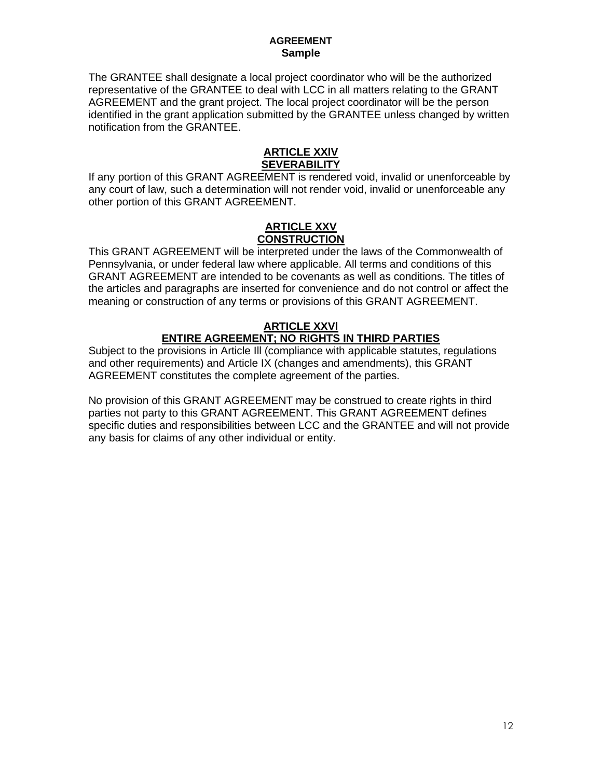The GRANTEE shall designate a local project coordinator who will be the authorized representative of the GRANTEE to deal with LCC in all matters relating to the GRANT AGREEMENT and the grant project. The local project coordinator will be the person identified in the grant application submitted by the GRANTEE unless changed by written notification from the GRANTEE.

### **ARTICLE XXlV SEVERABILITY**

If any portion of this GRANT AGREEMENT is rendered void, invalid or unenforceable by any court of law, such a determination will not render void, invalid or unenforceable any other portion of this GRANT AGREEMENT.

#### **ARTICLE XXV CONSTRUCTION**

This GRANT AGREEMENT will be interpreted under the laws of the Commonwealth of Pennsylvania, or under federal law where applicable. All terms and conditions of this GRANT AGREEMENT are intended to be covenants as well as conditions. The titles of the articles and paragraphs are inserted for convenience and do not control or affect the meaning or construction of any terms or provisions of this GRANT AGREEMENT.

## **ARTICLE XXVl ENTIRE AGREEMENT; NO RIGHTS IN THIRD PARTIES**

Subject to the provisions in Article Ill (compliance with applicable statutes, regulations and other requirements) and Article IX (changes and amendments), this GRANT AGREEMENT constitutes the complete agreement of the parties.

No provision of this GRANT AGREEMENT may be construed to create rights in third parties not party to this GRANT AGREEMENT. This GRANT AGREEMENT defines specific duties and responsibilities between LCC and the GRANTEE and will not provide any basis for claims of any other individual or entity.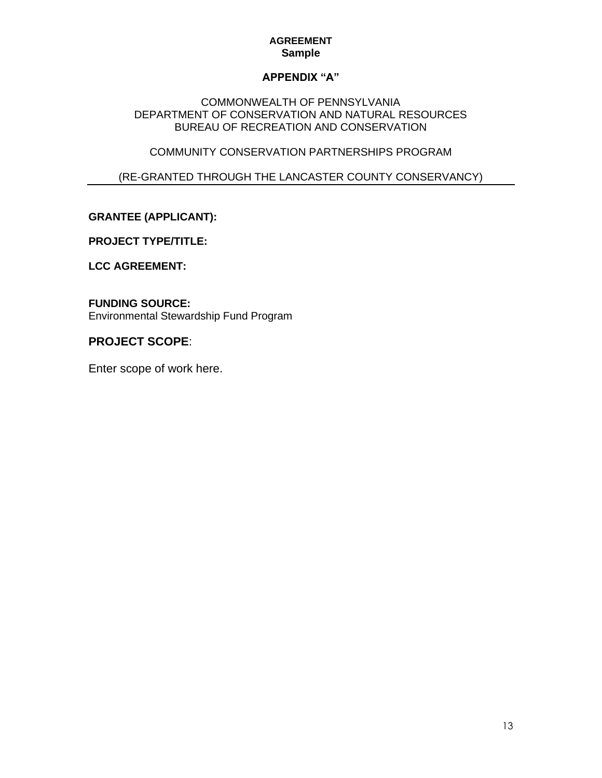# **APPENDIX "A"**

## COMMONWEALTH OF PENNSYLVANIA DEPARTMENT OF CONSERVATION AND NATURAL RESOURCES BUREAU OF RECREATION AND CONSERVATION

# COMMUNITY CONSERVATION PARTNERSHIPS PROGRAM

# (RE-GRANTED THROUGH THE LANCASTER COUNTY CONSERVANCY)

# **GRANTEE (APPLICANT):**

## **PROJECT TYPE/TITLE:**

# **LCC AGREEMENT:**

#### **FUNDING SOURCE:** Environmental Stewardship Fund Program

# **PROJECT SCOPE**:

Enter scope of work here.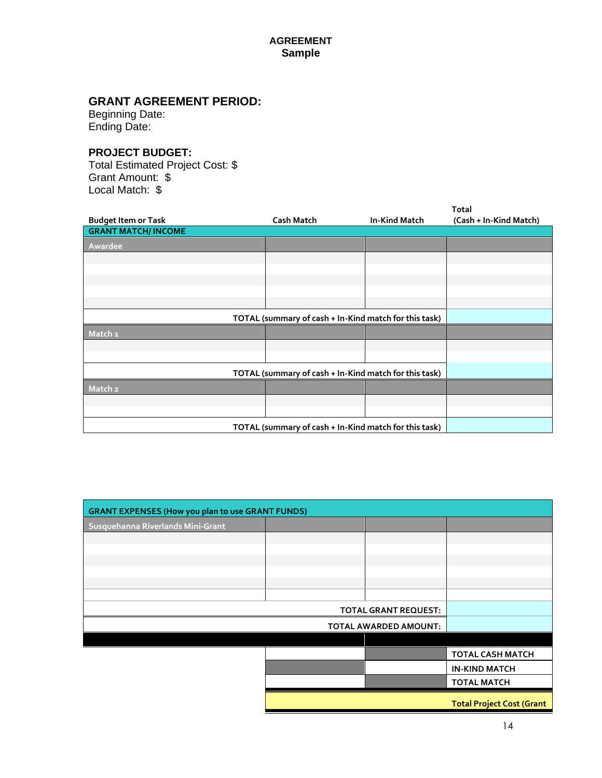# **GRANT AGREEMENT PERIOD:**

Beginning Date: Ending Date:

# **PROJECT BUDGET:**

Total Estimated Project Cost: \$ Grant Amount: \$ Local Match: \$

| <b>Budget Item or Task</b>                            | <b>Cash Match</b> | <b>In-Kind Match</b> | Total<br>(Cash + In-Kind Match) |
|-------------------------------------------------------|-------------------|----------------------|---------------------------------|
| <b>GRANT MATCH/ INCOME</b>                            |                   |                      |                                 |
| Awardee                                               |                   |                      |                                 |
|                                                       |                   |                      |                                 |
|                                                       |                   |                      |                                 |
|                                                       |                   |                      |                                 |
|                                                       |                   |                      |                                 |
| TOTAL (summary of cash + In-Kind match for this task) |                   |                      |                                 |
| Match <sub>1</sub>                                    |                   |                      |                                 |
|                                                       |                   |                      |                                 |
|                                                       |                   |                      |                                 |
| TOTAL (summary of cash + In-Kind match for this task) |                   |                      |                                 |
| Match <sub>2</sub>                                    |                   |                      |                                 |
|                                                       |                   |                      |                                 |
|                                                       |                   |                      |                                 |
| TOTAL (summary of cash + In-Kind match for this task) |                   |                      |                                 |

| <b>GRANT EXPENSES (How you plan to use GRANT FUNDS)</b> |  |  |                                  |  |
|---------------------------------------------------------|--|--|----------------------------------|--|
| Susquehanna Riverlands Mini-Grant                       |  |  |                                  |  |
|                                                         |  |  |                                  |  |
|                                                         |  |  |                                  |  |
|                                                         |  |  |                                  |  |
|                                                         |  |  |                                  |  |
|                                                         |  |  |                                  |  |
| <b>TOTAL GRANT REQUEST:</b>                             |  |  |                                  |  |
| <b>TOTAL AWARDED AMOUNT:</b>                            |  |  |                                  |  |
|                                                         |  |  |                                  |  |
|                                                         |  |  | <b>TOTAL CASH MATCH</b>          |  |
|                                                         |  |  | <b>IN-KIND MATCH</b>             |  |
|                                                         |  |  | <b>TOTAL MATCH</b>               |  |
|                                                         |  |  | <b>Total Project Cost (Grant</b> |  |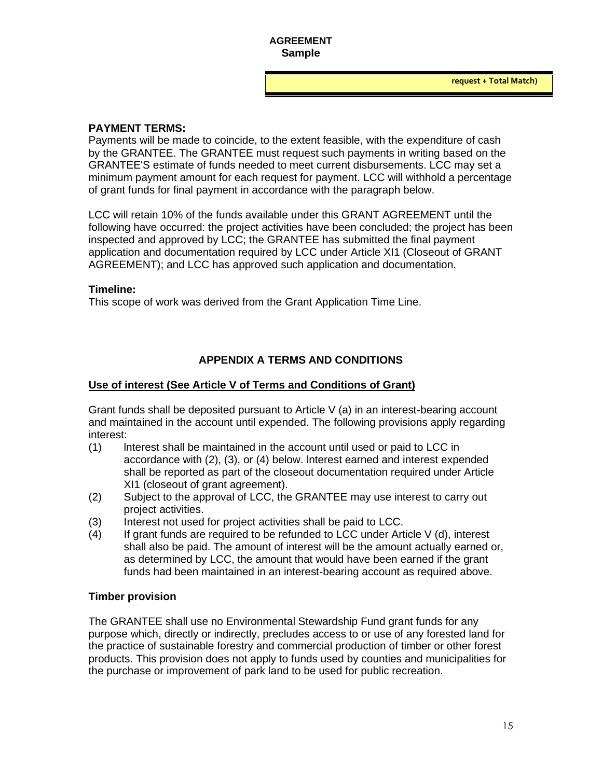#### **PAYMENT TERMS:**

Payments will be made to coincide, to the extent feasible, with the expenditure of cash by the GRANTEE. The GRANTEE must request such payments in writing based on the GRANTEE'S estimate of funds needed to meet current disbursements. LCC may set a minimum payment amount for each request for payment. LCC will withhold a percentage of grant funds for final payment in accordance with the paragraph below.

LCC will retain 10% of the funds available under this GRANT AGREEMENT until the following have occurred: the project activities have been concluded; the project has been inspected and approved by LCC; the GRANTEE has submitted the final payment application and documentation required by LCC under Article XI1 (Closeout of GRANT AGREEMENT); and LCC has approved such application and documentation.

#### **Timeline:**

This scope of work was derived from the Grant Application Time Line.

# **APPENDIX A TERMS AND CONDITIONS**

### **Use of interest (See Article V of Terms and Conditions of Grant)**

Grant funds shall be deposited pursuant to Article V (a) in an interest-bearing account and maintained in the account until expended. The following provisions apply regarding interest:

- (1) lnterest shall be maintained in the account until used or paid to LCC in accordance with (2), (3), or (4) below. lnterest earned and interest expended shall be reported as part of the closeout documentation required under Article XI1 (closeout of grant agreement).
- (2) Subject to the approval of LCC, the GRANTEE may use interest to carry out project activities.
- (3) Interest not used for project activities shall be paid to LCC.
- $(4)$  If grant funds are required to be refunded to LCC under Article V (d), interest shall also be paid. The amount of interest will be the amount actually earned or, as determined by LCC, the amount that would have been earned if the grant funds had been maintained in an interest-bearing account as required above.

## **Timber provision**

The GRANTEE shall use no Environmental Stewardship Fund grant funds for any purpose which, directly or indirectly, precludes access to or use of any forested land for the practice of sustainable forestry and commercial production of timber or other forest products. This provision does not apply to funds used by counties and municipalities for the purchase or improvement of park land to be used for public recreation.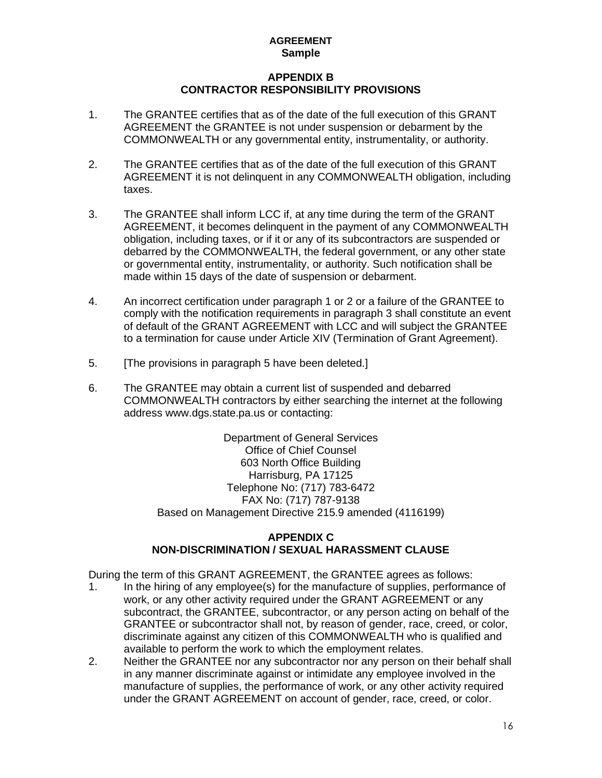## **APPENDIX B CONTRACTOR RESPONSIBILITY PROVISIONS**

- 1. The GRANTEE certifies that as of the date of the full execution of this GRANT AGREEMENT the GRANTEE is not under suspension or debarment by the COMMONWEALTH or any governmental entity, instrumentality, or authority.
- 2. The GRANTEE certifies that as of the date of the full execution of this GRANT AGREEMENT it is not delinquent in any COMMONWEALTH obligation, including taxes.
- 3. The GRANTEE shall inform LCC if, at any time during the term of the GRANT AGREEMENT, it becomes delinquent in the payment of any COMMONWEALTH obligation, including taxes, or if it or any of its subcontractors are suspended or debarred by the COMMONWEALTH, the federal government, or any other state or governmental entity, instrumentality, or authority. Such notification shall be made within 15 days of the date of suspension or debarment.
- 4. An incorrect certification under paragraph 1 or 2 or a failure of the GRANTEE to comply with the notification requirements in paragraph 3 shall constitute an event of default of the GRANT AGREEMENT with LCC and will subject the GRANTEE to a termination for cause under Article XIV (Termination of Grant Agreement).
- 5. **The provisions in paragraph 5 have been deleted.**
- 6. The GRANTEE may obtain a current list of suspended and debarred COMMONWEALTH contractors by either searching the internet at the following address www.dgs.state.pa.us or contacting:

Department of General Services Office of Chief Counsel 603 North Office Building Harrisburg, PA 17125 Telephone No: (717) 783-6472 FAX No: (717) 787-9138 Based on Management Directive 215.9 amended (4116199)

## **APPENDIX C NON-DlSCRlMlNATlON / SEXUAL HARASSMENT CLAUSE**

During the term of this GRANT AGREEMENT, the GRANTEE agrees as follows:

- 1. In the hiring of any employee(s) for the manufacture of supplies, performance of work, or any other activity required under the GRANT AGREEMENT or any subcontract, the GRANTEE, subcontractor, or any person acting on behalf of the GRANTEE or subcontractor shall not, by reason of gender, race, creed, or color, discriminate against any citizen of this COMMONWEALTH who is qualified and available to perform the work to which the employment relates.
- 2. Neither the GRANTEE nor any subcontractor nor any person on their behalf shall in any manner discriminate against or intimidate any employee involved in the manufacture of supplies, the performance of work, or any other activity required under the GRANT AGREEMENT on account of gender, race, creed, or color.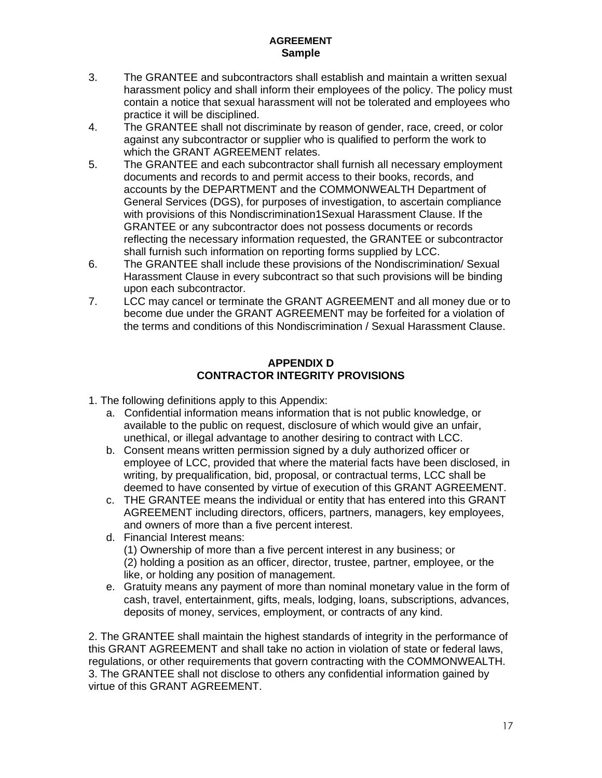- 3. The GRANTEE and subcontractors shall establish and maintain a written sexual harassment policy and shall inform their employees of the policy. The policy must contain a notice that sexual harassment will not be tolerated and employees who practice it will be disciplined.
- 4. The GRANTEE shall not discriminate by reason of gender, race, creed, or color against any subcontractor or supplier who is qualified to perform the work to which the GRANT AGREEMENT relates.
- 5. The GRANTEE and each subcontractor shall furnish all necessary employment documents and records to and permit access to their books, records, and accounts by the DEPARTMENT and the COMMONWEALTH Department of General Services (DGS), for purposes of investigation, to ascertain compliance with provisions of this Nondiscrimination1Sexual Harassment Clause. If the GRANTEE or any subcontractor does not possess documents or records reflecting the necessary information requested, the GRANTEE or subcontractor shall furnish such information on reporting forms supplied by LCC.
- 6. The GRANTEE shall include these provisions of the Nondiscrimination/ Sexual Harassment Clause in every subcontract so that such provisions will be binding upon each subcontractor.
- 7. LCC may cancel or terminate the GRANT AGREEMENT and all money due or to become due under the GRANT AGREEMENT may be forfeited for a violation of the terms and conditions of this Nondiscrimination / Sexual Harassment Clause.

# **APPENDIX D CONTRACTOR INTEGRITY PROVISIONS**

1. The following definitions apply to this Appendix:

- a. Confidential information means information that is not public knowledge, or available to the public on request, disclosure of which would give an unfair, unethical, or illegal advantage to another desiring to contract with LCC.
- b. Consent means written permission signed by a duly authorized officer or employee of LCC, provided that where the material facts have been disclosed, in writing, by prequalification, bid, proposal, or contractual terms, LCC shall be deemed to have consented by virtue of execution of this GRANT AGREEMENT.
- c. THE GRANTEE means the individual or entity that has entered into this GRANT AGREEMENT including directors, officers, partners, managers, key employees, and owners of more than a five percent interest.
- d. Financial Interest means: (1) Ownership of more than a five percent interest in any business; or (2) holding a position as an officer, director, trustee, partner, employee, or the like, or holding any position of management.
- e. Gratuity means any payment of more than nominal monetary value in the form of cash, travel, entertainment, gifts, meals, lodging, loans, subscriptions, advances, deposits of money, services, employment, or contracts of any kind.

2. The GRANTEE shall maintain the highest standards of integrity in the performance of this GRANT AGREEMENT and shall take no action in violation of state or federal laws, regulations, or other requirements that govern contracting with the COMMONWEALTH. 3. The GRANTEE shall not disclose to others any confidential information gained by virtue of this GRANT AGREEMENT.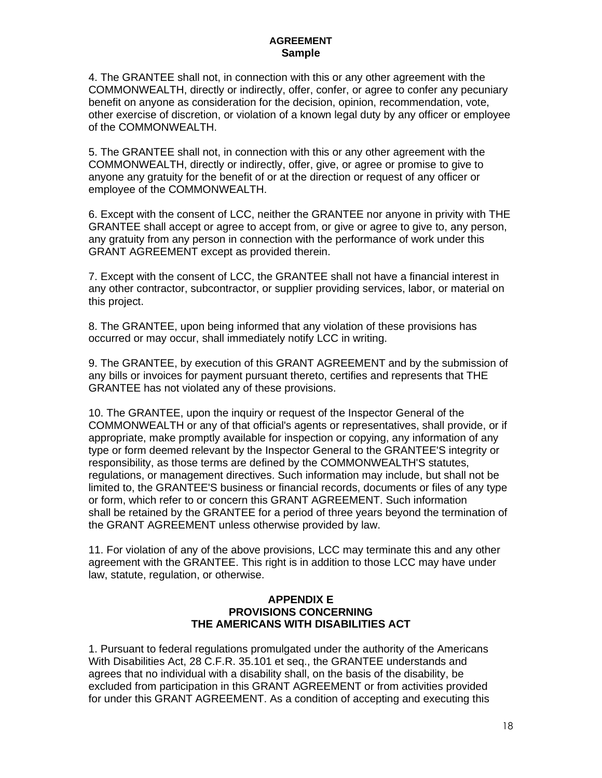4. The GRANTEE shall not, in connection with this or any other agreement with the COMMONWEALTH, directly or indirectly, offer, confer, or agree to confer any pecuniary benefit on anyone as consideration for the decision, opinion, recommendation, vote, other exercise of discretion, or violation of a known legal duty by any officer or employee of the COMMONWEALTH.

5. The GRANTEE shall not, in connection with this or any other agreement with the COMMONWEALTH, directly or indirectly, offer, give, or agree or promise to give to anyone any gratuity for the benefit of or at the direction or request of any officer or employee of the COMMONWEALTH.

6. Except with the consent of LCC, neither the GRANTEE nor anyone in privity with THE GRANTEE shall accept or agree to accept from, or give or agree to give to, any person, any gratuity from any person in connection with the performance of work under this GRANT AGREEMENT except as provided therein.

7. Except with the consent of LCC, the GRANTEE shall not have a financial interest in any other contractor, subcontractor, or supplier providing services, labor, or material on this project.

8. The GRANTEE, upon being informed that any violation of these provisions has occurred or may occur, shall immediately notify LCC in writing.

9. The GRANTEE, by execution of this GRANT AGREEMENT and by the submission of any bills or invoices for payment pursuant thereto, certifies and represents that THE GRANTEE has not violated any of these provisions.

10. The GRANTEE, upon the inquiry or request of the Inspector General of the COMMONWEALTH or any of that official's agents or representatives, shall provide, or if appropriate, make promptly available for inspection or copying, any information of any type or form deemed relevant by the Inspector General to the GRANTEE'S integrity or responsibility, as those terms are defined by the COMMONWEALTH'S statutes, regulations, or management directives. Such information may include, but shall not be limited to, the GRANTEE'S business or financial records, documents or files of any type or form, which refer to or concern this GRANT AGREEMENT. Such information shall be retained by the GRANTEE for a period of three years beyond the termination of the GRANT AGREEMENT unless otherwise provided by law.

11. For violation of any of the above provisions, LCC may terminate this and any other agreement with the GRANTEE. This right is in addition to those LCC may have under law, statute, regulation, or otherwise.

#### **APPENDIX E PROVISIONS CONCERNING THE AMERICANS WITH DISABILITIES ACT**

1. Pursuant to federal regulations promulgated under the authority of the Americans With Disabilities Act, 28 C.F.R. 35.101 et seq., the GRANTEE understands and agrees that no individual with a disability shall, on the basis of the disability, be excluded from participation in this GRANT AGREEMENT or from activities provided for under this GRANT AGREEMENT. As a condition of accepting and executing this